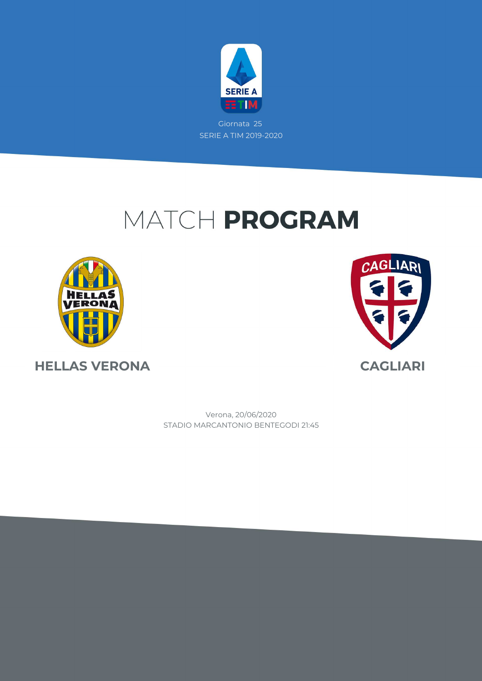

# MATCH PROGRAM





STADIO MARCANTONIO BENTEGODI 21:45 Verona, 20/06/2020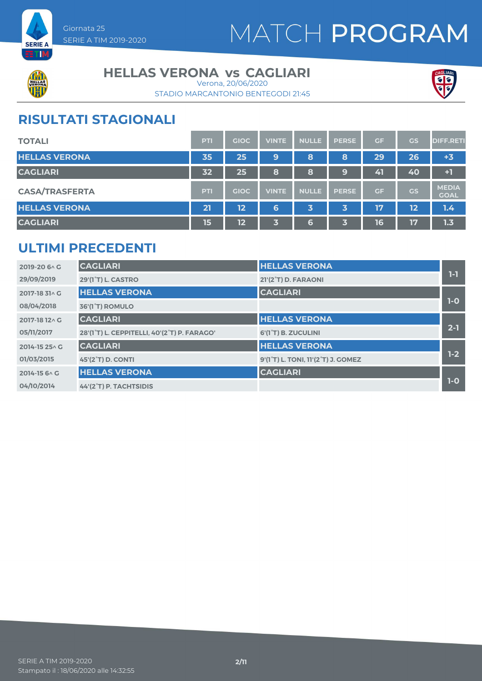



#### **HELLAS VERONA vs CAGLIARI**

STADIO MARCANTONIO BENTEGODI 21:45 Verona, 20/06/2020



### **RISULTATI STAGIONALI**

| <b>TOTALI</b>         | PTI | <b>GIOC</b> | <b>VINTE</b> | <b>NULLE</b> | <b>PERSE</b> | <b>GF</b> | GS | <b>DIFF.RETI</b>            |
|-----------------------|-----|-------------|--------------|--------------|--------------|-----------|----|-----------------------------|
| <b>HELLAS VERONA</b>  | 35  | 25          | 9            | 8            | 8            | 29        | 26 | $+3$                        |
| <b>CAGLIARI</b>       | 32  | 25          | 8            | 8            | 9            | 41        | 40 | $+1$                        |
| <b>CASA/TRASFERTA</b> | PTI | <b>GIOC</b> | <b>VINTE</b> | <b>NULLE</b> | <b>PERSE</b> | <b>GF</b> | GS | <b>MEDIA</b><br><b>GOAL</b> |
| <b>HELLAS VERONA</b>  | 21  | 12          | 6            | 3            | 3            | 17        | 12 | 1.4                         |
| <b>CAGLIARI</b>       | 15  | 12          | 3            | 6            | 3            | 16        | 17 | 1.3                         |

### **ULTIMI PRECEDENTI**

| 2019-20 6 \ C  | <b>CAGLIARI</b>                             | <b>HELLAS VERONA</b>                                         |         |
|----------------|---------------------------------------------|--------------------------------------------------------------|---------|
| 29/09/2019     | <b>29'(1°T) L. CASTRO</b>                   | 21'(2°T) D. FARAONI                                          | $1-1$   |
| 2017-18 31 \ G | <b>HELLAS VERONA</b>                        | <b>CAGLIARI</b>                                              |         |
| 08/04/2018     | 36'(1 <sup>°</sup> T) ROMULO                |                                                              | $1-0$   |
| 2017-18 12 \ G | <b>CAGLIARI</b>                             | <b>HELLAS VERONA</b>                                         |         |
| 05/11/2017     | 28'(1°T) L. CEPPITELLI, 40'(2°T) P. FARAGO' | 6'(1 <sup>°</sup> T) B. ZUCULINI                             | $2 - 1$ |
| 2014-15 25 \ G | <b>CAGLIARI</b>                             | <b>HELLAS VERONA</b>                                         |         |
| 01/03/2015     | 45'(2 <sup>°</sup> T) D. CONTI              | 9'(1 <sup>°</sup> T) L. TONI, 11'(2 <sup>°</sup> T) J. GOMEZ | $1-2$   |
| 2014-15 6 \ C  | <b>HELLAS VERONA</b>                        | <b>CAGLIARI</b>                                              |         |
| 04/10/2014     | 44'(2°T) P. TACHTSIDIS                      |                                                              | $1-0$   |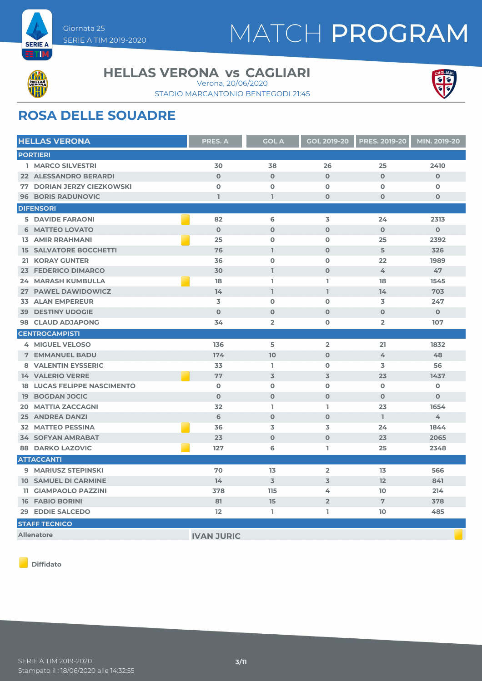

# MATCH PROGRAM



#### **HELLAS VERONA vs CAGLIARI**

STADIO MARCANTONIO BENTEGODI 21:45 Verona, 20/06/2020



### **ROSA DELLE SQUADRE**

| <b>HELLAS VERONA</b>               | <b>PRES. A</b><br><b>GOL A</b> |                | <b>GOL 2019-20</b> | <b>PRES. 2019-20</b> | MIN. 2019-20 |
|------------------------------------|--------------------------------|----------------|--------------------|----------------------|--------------|
| <b>PORTIERI</b>                    |                                |                |                    |                      |              |
| <b>1 MARCO SILVESTRI</b>           | 30                             | 38             | 26                 | 25                   | 2410         |
| <b>22 ALESSANDRO BERARDI</b>       | $\mathbf{O}$                   | $\mathbf{O}$   | $\mathbf 0$        | $\Omega$             | $\mathbf{O}$ |
| <b>77 DORIAN JERZY CIEZKOWSKI</b>  | $\mathbf 0$                    | $\mathbf 0$    | $\mathbf 0$        | $\mathbf 0$          | O            |
| <b>96 BORIS RADUNOVIC</b>          | $\mathbf{1}$                   | L              | $\mathbf 0$        | $\mathbf 0$          | $\mathbf 0$  |
| <b>DIFENSORI</b>                   |                                |                |                    |                      |              |
| <b>5 DAVIDE FARAONI</b>            | 82                             | 6              | 3                  | 24                   | 2313         |
| <b>6 MATTEO LOVATO</b>             | $\Omega$                       | $\Omega$       | $\Omega$           | $\Omega$             | $\Omega$     |
| <b>13 AMIR RRAHMANI</b>            | 25                             | $\mathbf 0$    | $\mathbf 0$        | 25                   | 2392         |
| <b>15 SALVATORE BOCCHETTI</b>      | 76                             | $\mathbf{I}$   | $\Omega$           | 5                    | 326          |
| <b>21 KORAY GUNTER</b>             | 36                             | $\mathbf 0$    | $\mathbf 0$        | 22                   | 1989         |
| 23 FEDERICO DIMARCO                | 30                             | L              | $\mathbf 0$        | 4                    | 47           |
| <b>24 MARASH KUMBULLA</b>          | 18                             | L              | I.                 | 18                   | 1545         |
| 27 PAWEL DAWIDOWICZ                | 14                             | L              | L                  | 14                   | 703          |
| <b>33 ALAN EMPEREUR</b>            | 3                              | $\mathbf 0$    | $\mathbf 0$        | 3                    | 247          |
| <b>39 DESTINY UDOGIE</b>           | $\Omega$                       | $\mathbf 0$    | $\Omega$           | $\mathbf 0$          | $\mathbf 0$  |
| 98 CLAUD ADJAPONG                  | 34                             | $\overline{2}$ | $\mathbf 0$        | $\overline{2}$       | 107          |
| <b>CENTROCAMPISTI</b>              |                                |                |                    |                      |              |
| 4 MIGUEL VELOSO                    | 136                            | 5              | $\overline{2}$     | 21                   | 1832         |
| <b>7 EMMANUEL BADU</b>             | 174                            | 10             | $\mathbf{O}$       | 4                    | 48           |
| 8 VALENTIN EYSSERIC                | 33                             | L.             | $\mathbf 0$        | 3                    | 56           |
| <b>14 VALERIO VERRE</b>            | 77                             | $\overline{3}$ | 3                  | 23                   | 1437         |
| <b>18 LUCAS FELIPPE NASCIMENTO</b> | $\mathbf 0$                    | $\mathbf 0$    | $\mathbf 0$        | $\mathbf 0$          | $\mathbf 0$  |
| <b>19 BOGDAN JOCIC</b>             | $\mathbf{O}$                   | $\mathbf 0$    | $\mathbf{O}$       | $\mathbf 0$          | $\mathbf{O}$ |
| <b>20 MATTIA ZACCAGNI</b>          | 32                             | L.             | I.                 | 23                   | 1654         |
| <b>25 ANDREA DANZI</b>             | 6                              | $\mathbf 0$    | $\mathbf{O}$       | L.                   | 4            |
| <b>32 MATTEO PESSINA</b>           | 36                             | 3              | 3                  | 24                   | 1844         |
| <b>34 SOFYAN AMRABAT</b>           | 23                             | $\mathbf 0$    | $\mathbf 0$        | 23                   | 2065         |
| <b>88 DARKO LAZOVIC</b>            | 127                            | 6              | I.                 | 25                   | 2348         |
| <b>ATTACCANTI</b>                  |                                |                |                    |                      |              |
| 9 MARIUSZ STEPINSKI                | 70                             | 13             | $\overline{2}$     | 13                   | 566          |
| <b>10 SAMUEL DI CARMINE</b>        | 14                             | $\overline{3}$ | 3                  | 12                   | 841          |
| <b>11 GIAMPAOLO PAZZINI</b>        | 378                            | 115            | 4                  | 10                   | 214          |
| <b>16 FABIO BORINI</b>             | 81                             | 15             | $\overline{2}$     | 7                    | 378          |
| 29 EDDIE SALCEDO                   | $12 \overline{ }$              | L.             | L                  | 10                   | 485          |
| <b>STAFF TECNICO</b>               |                                |                |                    |                      |              |
| <b>Allenatore</b>                  | <b>IVAN JURIC</b>              |                |                    |                      |              |

**Diffidato**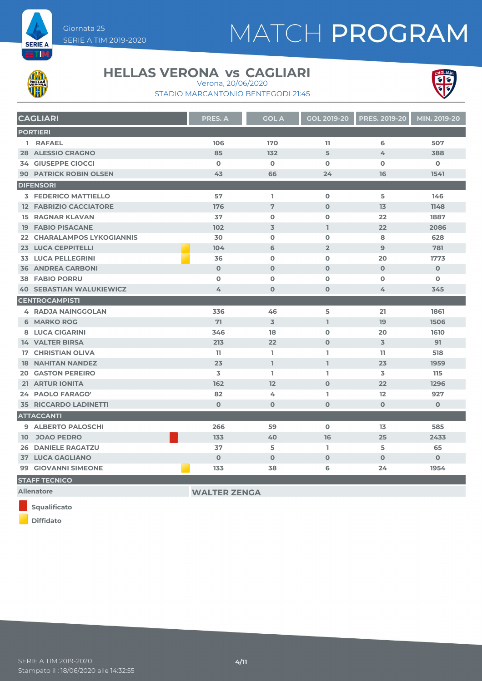

# MATCH PROGRAM



#### **HELLAS VERONA vs CAGLIARI**

Verona, 20/06/2020



STADIO MARCANTONIO BENTEGODI 21:45

| <b>CAGLIARI</b>                   | <b>PRES. A</b>      | <b>GOL A</b>   | <b>GOL 2019-20</b> | <b>PRES. 2019-20</b> | MIN. 2019-20 |
|-----------------------------------|---------------------|----------------|--------------------|----------------------|--------------|
| <b>PORTIERI</b>                   |                     |                |                    |                      |              |
| 1 RAFAEL                          | 106                 | 170            | 11                 | 6                    | 507          |
| <b>28 ALESSIO CRAGNO</b>          | 85                  | 132            | 5                  | 4                    | 388          |
| <b>34 GIUSEPPE CIOCCI</b>         | $\mathbf 0$         | $\mathbf 0$    | $\mathbf 0$        | $\mathbf o$          | $\mathbf 0$  |
| <b>90 PATRICK ROBIN OLSEN</b>     | 43                  | 66             | 24                 | 16                   | 1541         |
| <b>DIFENSORI</b>                  |                     |                |                    |                      |              |
| <b>3 FEDERICO MATTIELLO</b>       | 57                  | L.             | $\mathbf 0$        | 5                    | 146          |
| <b>12 FABRIZIO CACCIATORE</b>     | 176                 | $\overline{7}$ | $\mathbf{O}$       | 13                   | 1148         |
| <b>15 RAGNAR KLAVAN</b>           | 37                  | $\mathbf 0$    | $\mathbf 0$        | 22                   | 1887         |
| <b>19 FABIO PISACANE</b>          | 102                 | $\overline{3}$ | L.                 | 22                   | 2086         |
| <b>22 CHARALAMPOS LYKOGIANNIS</b> | 30                  | $\Omega$       | $\mathbf 0$        | 8                    | 628          |
| <b>23 LUCA CEPPITELLI</b>         | 104                 | 6              | $\overline{2}$     | $\overline{9}$       | 781          |
| <b>33 LUCA PELLEGRINI</b>         | 36                  | $\Omega$       | $\mathbf 0$        | 20                   | 1773         |
| <b>36 ANDREA CARBONI</b>          | $\mathbf 0$         | $\mathbf 0$    | $\mathbf{O}$       | $\mathbf{O}$         | $\mathbf 0$  |
| <b>38 FABIO PORRU</b>             | $\mathbf 0$         | $\mathbf 0$    | $\mathbf o$        | $\mathbf 0$          | $\mathbf o$  |
| <b>40 SEBASTIAN WALUKIEWICZ</b>   | 4                   | $\mathbf 0$    | $\mathbf 0$        | 4                    | 345          |
| <b>CENTROCAMPISTI</b>             |                     |                |                    |                      |              |
| <b>4 RADJA NAINGGOLAN</b>         | 336                 | 46             | 5                  | 21                   | 1861         |
| <b>6 MARKO ROG</b>                | 71                  | $\overline{3}$ | $\mathbf{1}$       | 19                   | 1506         |
| 8 LUCA CIGARINI                   | 346                 | 18             | $\mathbf 0$        | 20                   | 1610         |
| <b>14 VALTER BIRSA</b>            | 213                 | 22             | $\mathbf{O}$       | 3                    | 91           |
| <b>17 CHRISTIAN OLIVA</b>         | 11                  | L.             | L                  | 11                   | 518          |
| <b>18 NAHITAN NANDEZ</b>          | 23                  | L.             | L.                 | 23                   | 1959         |
| <b>20 GASTON PEREIRO</b>          | 3                   | L.             | L                  | 3                    | 115          |
| <b>21 ARTUR IONITA</b>            | 162                 | 12             | $\Omega$           | 22                   | 1296         |
| 24 PAOLO FARAGO'                  | 82                  | 4              | L                  | 12                   | 927          |
| <b>35 RICCARDO LADINETTI</b>      | $\Omega$            | $\mathbf 0$    | $\mathbf{O}$       | $\mathbf{O}$         | $\mathbf 0$  |
| <b>ATTACCANTI</b>                 |                     |                |                    |                      |              |
| 9 ALBERTO PALOSCHI                | 266                 | 59             | $\Omega$           | 13                   | 585          |
| 10 JOAO PEDRO                     | 133                 | 40             | 16                 | 25                   | 2433         |
| <b>26 DANIELE RAGATZU</b>         | 37                  | 5              | L                  | 5                    | 65           |
| <b>37 LUCA GAGLIANO</b>           | $\mathbf 0$         | $\mathbf 0$    | $\mathbf{O}$       | $\Omega$             | $\mathbf{O}$ |
| 99 GIOVANNI SIMEONE               | 133                 | 38             | 6                  | 24                   | 1954         |
| <b>STAFF TECNICO</b>              |                     |                |                    |                      |              |
| <b>Allenatore</b>                 | <b>WALTER ZENGA</b> |                |                    |                      |              |

**Squalificato**

**Diffidato**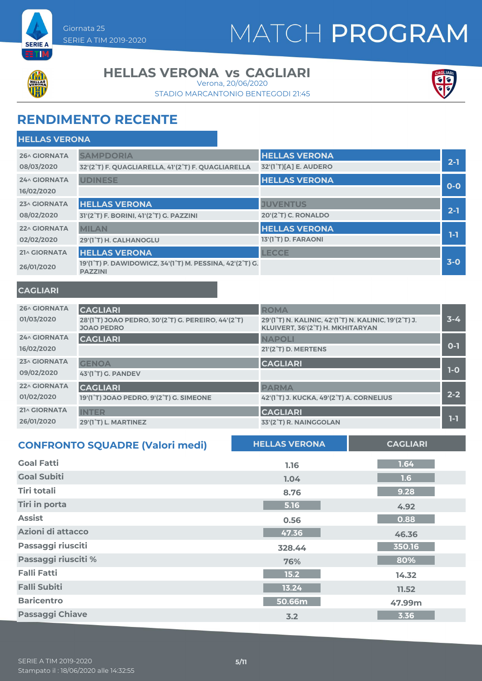

# MATCH PROGRAM



#### **HELLAS VERONA vs CAGLIARI**

STADIO MARCANTONIO BENTEGODI 21:45 Verona, 20/06/2020



### **RENDIMENTO RECENTE**

| <b>HELLAS VERONA</b> |                                                                            |                                  |         |
|----------------------|----------------------------------------------------------------------------|----------------------------------|---------|
| 26^ GIORNATA         | <b>SAMPDORIA</b>                                                           | <b>HELLAS VERONA</b>             |         |
| 08/03/2020           | 32'(2°T) F. QUAGLIARELLA, 41'(2°T) F. QUAGLIARELLA                         | 32'(1°T)[A] E. AUDERO            | $2-1$   |
| <b>24^ GIORNATA</b>  | <b>UDINESE</b>                                                             | <b>HELLAS VERONA</b>             |         |
| 16/02/2020           |                                                                            |                                  | $O-O$   |
| 23^ GIORNATA         | <b>HELLAS VERONA</b>                                                       | <b>JUVENTUS</b>                  |         |
| 08/02/2020           | 31'(2°T) F. BORINI, 41'(2°T) G. PAZZINI                                    | 20'(2 <sup>°</sup> T) C. RONALDO | $2 - 1$ |
| 22^ GIORNATA         | <b>MILAN</b>                                                               | <b>HELLAS VERONA</b>             | 1-1     |
| 02/02/2020           | 29'(1°T) H. CALHANOGLU                                                     | 13'(1°T) D. FARAONI              |         |
| 21^ GIORNATA         | <b>HELLAS VERONA</b>                                                       | <b>LECCE</b>                     |         |
| 26/01/2020           | 19'(1°T) P. DAWIDOWICZ, 34'(1°T) M. PESSINA, 42'(2°T) G.<br><b>PAZZINI</b> |                                  | $3-0$   |

#### **CAGLIARI**

| <b>26^ GIORNATA</b> | <b>CAGLIARI</b>                                                         | <b>ROMA</b>                                                                               |         |
|---------------------|-------------------------------------------------------------------------|-------------------------------------------------------------------------------------------|---------|
| 01/03/2020          | 28'(1°T) JOAO PEDRO, 30'(2°T) G. PEREIRO, 44'(2°T)<br><b>JOAO PEDRO</b> | 29'(1°T) N. KALINIC, 42'(1°T) N. KALINIC, 19'(2°T) J.<br>KLUIVERT, 36'(2°T) H. MKHITARYAN | $3 - 4$ |
| <b>24^ GIORNATA</b> | <b>CAGLIARI</b>                                                         | <b>NAPOLI</b>                                                                             |         |
| 16/02/2020          |                                                                         | <b>21'(2<sup>°</sup>T) D. MERTENS</b>                                                     | $0 - 1$ |
| 23^ GIORNATA        | <b>GENOA</b>                                                            | <b>CAGLIARI</b>                                                                           |         |
| 09/02/2020          | 43'(1 <sup>°</sup> T) G. PANDEV                                         |                                                                                           | $1-O$   |
| <b>22^ GIORNATA</b> | <b>CAGLIARI</b>                                                         | <b>PARMA</b>                                                                              |         |
| 01/02/2020          | 19'(1°T) JOAO PEDRO, 9'(2°T) G. SIMEONE                                 | 42'(1°T) J. KUCKA, 49'(2°T) A. CORNELIUS                                                  | $2 - 2$ |
| 21^ GIORNATA        | <b>INTER</b>                                                            | <b>CAGLIARI</b>                                                                           |         |
| 26/01/2020          | 29'(1°T) L. MARTINEZ                                                    | 33'(2°T) R. NAINGGOLAN                                                                    | 1-1     |

| <b>CONFRONTO SQUADRE (Valori medi)</b> | <b>HELLAS VERONA</b> | <b>CAGLIARI</b> |
|----------------------------------------|----------------------|-----------------|
| <b>Goal Fatti</b>                      | 1.16                 | 1.64            |
| <b>Goal Subiti</b>                     | 1.04                 | 1.6             |
| Tiri totali                            | 8.76                 | 9.28            |
| <b>Tiri in porta</b>                   | 5.16                 | 4.92            |
| <b>Assist</b>                          | 0.56                 | 0.88            |
| Azioni di attacco                      | 47.36                | 46.36           |
| Passaggi riusciti                      | 328.44               | 350.16          |
| Passaggi riusciti %                    | 76%                  | 80%             |
| <b>Falli Fatti</b>                     | 15.2                 | 14.32           |
| <b>Falli Subiti</b>                    | 13.24                | 11.52           |
| <b>Baricentro</b>                      | 50.66m               | 47.99m          |
| <b>Passaggi Chiave</b>                 | 3.2                  | 3.36            |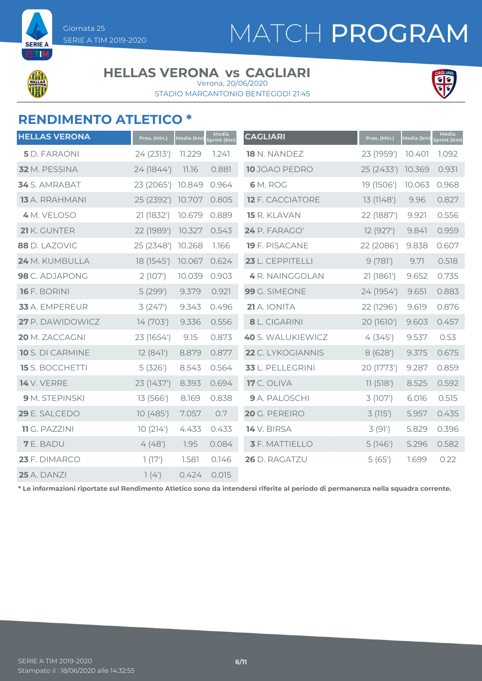# MATCH PROGRAM

**SEDIE** 

#### **HELLAS VERONA vs CAGLIARI**

STADIO MARCANTONIO BENTEGODI 21:45 Verona, 20/06/2020



### **RENDIMENTO ATLETICO \***

| <b>HELLAS VERONA</b>   | Pres. (Min.) | Media (km) | Media<br>print (Km) | <b>CAGLIARI</b>         | Pres. (Min.) | Media (km) | Media<br>Sprint (Km) |
|------------------------|--------------|------------|---------------------|-------------------------|--------------|------------|----------------------|
| <b>5</b> D. FARAONI    | 24 (2313')   | 11.229     | 1.241               | 18 N. NANDEZ            | 23 (1959')   | 10.401     | 1.092                |
| 32 M. PESSINA          | 24 (1844')   | 11.16      | 0.881               | 10 JOAO PEDRO           | 25 (2433')   | 10.369     | 0.931                |
| 34 S. AMRABAT          | 23 (2065')   | 10.849     | 0.964               | <b>6</b> M. ROG         | 19 (1506')   | 10.063     | 0.968                |
| <b>13</b> A. RRAHMANI  | 25 (2392')   | 10.707     | 0.805               | <b>12 F. CACCIATORE</b> | 13 (1148')   | 9.96       | 0.827                |
| 4 M. VELOSO            | 21 (1832')   | 10.679     | 0.889               | 15 R. KLAVAN            | 22 (1887')   | 9.921      | 0.556                |
| 21 K. GUNTER           | 22 (1989')   | 10.327     | 0.543               | 24 P. FARAGO'           | 12 (927')    | 9.841      | 0.959                |
| 88 D. LAZOVIC          | 25 (2348')   | 10.268     | 1.166               | 19 F. PISACANE          | 22 (2086')   | 9.838      | 0.607                |
| 24 M. KUMBULLA         | 18 (1545')   | 10.067     | 0.624               | 23 L. CEPPITELLI        | 9(781)       | 9.71       | 0.518                |
| 98 C. ADJAPONG         | 2(107)       | 10.039     | 0.903               | 4 R. NAINGGOLAN         | 21 (1861')   | 9.652      | 0.735                |
| <b>16</b> F. BORINI    | 5(299')      | 9.379      | 0.921               | 99 G. SIMEONE           | 24 (1954')   | 9.651      | 0.883                |
| 33 A. EMPEREUR         | 3(247)       | 9.343      | 0.496               | 21 A. IONITA            | 22 (1296')   | 9.619      | 0.876                |
| 27 P. DAWIDOWICZ       | 14 (703')    | 9.336      | 0.556               | 8 L. CIGARINI           | 20 (1610')   | 9.603      | 0.457                |
| 20 M. ZACCAGNI         | 23 (1654')   | 9.15       | 0.873               | 40 S. WALUKIEWICZ       | 4(345)       | 9.537      | 0.53                 |
| 10 S. DI CARMINE       | 12(841)      | 8.879      | 0.877               | 22 C. LYKOGIANNIS       | 8(628)       | 9.375      | 0.675                |
| <b>15</b> S. BOCCHETTI | 5(326')      | 8.543      | 0.564               | 33 L. PELLEGRINI        | 20 (1773')   | 9.287      | 0.859                |
| <b>14</b> V. VERRE     | 23 (1437')   | 8.393      | 0.694               | <b>17</b> C. OLIVA      | 11(518')     | 8.525      | 0.592                |
| 9 M. STEPINSKI         | 13 (566')    | 8.169      | 0.838               | 9 A. PALOSCHI           | 3(107)       | 6.016      | 0.515                |
| 29 E. SALCEDO          | 10(485)      | 7.057      | 0.7                 | 20 G. PEREIRO           | 3(115)       | 5.957      | 0.435                |
| 11 G. PAZZINI          | 10(214)      | 4.433      | 0.433               | 14 V. BIRSA             | 3(91)        | 5.829      | 0.396                |
| <b>7</b> E. BADU       | 4(48)        | 1.95       | 0.084               | <b>3</b> F. MATTIELLO   | 5(146)       | 5.296      | 0.582                |
| 23 F. DIMARCO          | 1(17)        | 1.581      | 0.146               | 26 D. RAGATZU           | 5(65)        | 1.699      | 0.22                 |
| <b>25</b> A. DANZI     | 7(4)         | 0.424      | 0.015               |                         |              |            |                      |

**\* Le informazioni riportate sul Rendimento Atletico sono da intendersi riferite al periodo di permanenza nella squadra corrente.**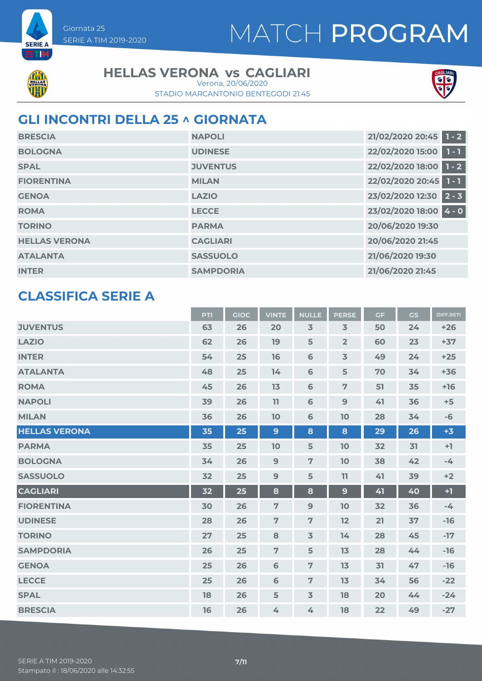



**SERIE A** 7 T I

#### **HELLAS VERONA vs CAGLIARI**

STADIO MARCANTONIO BENTEGODI 21:45 Verona, 20/06/2020



### **GLI INCONTRI DELLA 25 ^ GIORNATA**

| <b>BRESCIA</b>       | <b>NAPOLI</b>    | 21/02/2020 20:45 1 - 2 |
|----------------------|------------------|------------------------|
| <b>BOLOGNA</b>       | <b>UDINESE</b>   | 22/02/2020 15:00 1 - 1 |
| <b>SPAL</b>          | <b>JUVENTUS</b>  | 22/02/2020 18:00 1 - 2 |
| <b>FIORENTINA</b>    | <b>MILAN</b>     | 22/02/2020 20:45 1 - 1 |
| <b>GENOA</b>         | <b>LAZIO</b>     | 23/02/2020 12:30 2 - 3 |
| <b>ROMA</b>          | <b>LECCE</b>     | 23/02/2020 18:00 4 - 0 |
| <b>TORINO</b>        | <b>PARMA</b>     | 20/06/2020 19:30       |
| <b>HELLAS VERONA</b> | <b>CAGLIARI</b>  | 20/06/2020 21:45       |
| <b>ATALANTA</b>      | <b>SASSUOLO</b>  | 21/06/2020 19:30       |
| <b>INTER</b>         | <b>SAMPDORIA</b> | 21/06/2020 21:45       |

### **CLASSIFICA SERIE A**

|                      | <b>PTI</b> | <b>GIOC</b> | <b>VINTE</b>   | <b>NULLE</b>   | <b>PERSE</b>            | <b>GF</b> | <b>GS</b> | <b>DIFF.RETI</b> |
|----------------------|------------|-------------|----------------|----------------|-------------------------|-----------|-----------|------------------|
| <b>JUVENTUS</b>      | 63         | 26          | 20             | 3              | $\overline{3}$          | 50        | 24        | $+26$            |
| <b>LAZIO</b>         | 62         | 26          | 19             | 5              | $\overline{2}$          | 60        | 23        | $+37$            |
| <b>INTER</b>         | 54         | 25          | 16             | $\mathbf 6$    | $\overline{\mathbf{3}}$ | 49        | 24        | $+25$            |
| <b>ATALANTA</b>      | 48         | 25          | 14             | $\mathbf 6$    | 5                       | 70        | 34        | $+36$            |
| <b>ROMA</b>          | 45         | 26          | 13             | $\mathbf 6$    | $\overline{7}$          | 51        | 35        | $+16$            |
| <b>NAPOLI</b>        | 39         | 26          | 11             | 6              | $\mathbf{9}$            | 41        | 36        | $+5$             |
| <b>MILAN</b>         | 36         | 26          | 10             | $\mathbf 6$    | 10                      | 28        | 34        | $-6$             |
| <b>HELLAS VERONA</b> | 35         | 25          | $\overline{9}$ | 8              | 8                       | 29        | 26        | $+3$             |
| <b>PARMA</b>         | 35         | 25          | 10             | 5              | 10                      | 32        | 31        | $+1$             |
| <b>BOLOGNA</b>       | 34         | 26          | 9              | 7              | 10                      | 38        | 42        | $-4$             |
| <b>SASSUOLO</b>      | 32         | 25          | 9              | 5              | 11                      | 41        | 39        | $+2$             |
| <b>CAGLIARI</b>      | 32         | 25          | 8              | 8              | 9                       | 41        | 40        | $+1$             |
| <b>FIORENTINA</b>    | 30         | 26          | $\overline{7}$ | 9              | 10                      | 32        | 36        | $-4$             |
| <b>UDINESE</b>       | 28         | 26          | $\overline{7}$ | 7              | 12                      | 21        | 37        | $-16$            |
| <b>TORINO</b>        | 27         | 25          | 8              | $\overline{3}$ | 14                      | 28        | 45        | $-17$            |
| <b>SAMPDORIA</b>     | 26         | 25          | $\overline{7}$ | 5              | 13                      | 28        | 44        | $-16$            |
| <b>GENOA</b>         | 25         | 26          | $6\phantom{1}$ | 7              | 13                      | 31        | 47        | $-16$            |
| <b>LECCE</b>         | 25         | 26          | 6              | 7              | 13                      | 34        | 56        | $-22$            |
| <b>SPAL</b>          | 18         | 26          | 5              | $\overline{3}$ | 18                      | 20        | 44        | $-24$            |
| <b>BRESCIA</b>       | 16         | 26          | 4              | 4              | 18                      | 22        | 49        | $-27$            |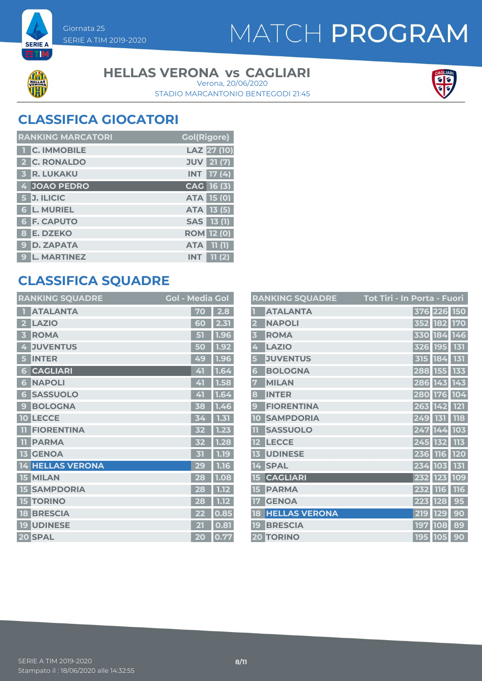



**SERIE A** ETI

#### **HELLAS VERONA vs CAGLIARI**

STADIO MARCANTONIO BENTEGODI 21:45 Verona, 20/06/2020



### **CLASSIFICA GIOCATORI**

| <b>RANKING MARCATORI</b> | <b>Gol(Rigore)</b>                |
|--------------------------|-----------------------------------|
| 1 C. IMMOBILE            | LAZ 27 (10)                       |
| 2 C. RONALDO             | <b>JUV</b> 21 (7)                 |
| <b>3 R. LUKAKU</b>       | $INT$ 17 (4)                      |
| 4 JOAO PEDRO             | CAG 16 (3)                        |
| 5 J. ILICIC              | <b>ATA 15 (0)</b>                 |
| <b>6 L. MURIEL</b>       | <b>ATA 13 (5)</b>                 |
| <b>6 F. CAPUTO</b>       | <b>SAS</b> 13 (1)                 |
| 8 E. DZEKO               | <b>ROM</b> 12 (0)                 |
| 9 D. ZAPATA              | $\overline{11}$ (1)<br><b>ATA</b> |
| <b>L. MARTINEZ</b><br>9  | 11(2)<br><b>INT</b>               |

### **CLASSIFICA SQUADRE**

| <b>RANKING SQUADRE</b>         | <b>Gol - Media Gol</b> |                   |
|--------------------------------|------------------------|-------------------|
| <b>ATALANTA</b>                | 70                     | 2.8               |
| <b>LAZIO</b><br>2              | 60                     | 2.31              |
| <b>ROMA</b><br>3               | 51                     | 1.96              |
| <b>JUVENTUS</b><br>4           | 50                     | 1.92              |
| <b>INTER</b><br>5              | 49                     | 1.9<br>6          |
| <b>CAGLIARI</b><br>6           | 41                     | 1.64              |
| <b>NAPOLI</b><br>6             | 41                     | 1.58              |
| <b>SASSUOLO</b><br>6           | 41                     | 1.64              |
| <b>BOLOGNA</b><br>$\mathbf{c}$ | 38                     | 1.46              |
| <b>LECCE</b><br>10             | 34                     | 1.31              |
| <b>FIORENTINA</b><br>m         | 32                     | 1.23              |
| <b>PARMA</b><br>Ш              | 32                     | 1.28              |
| <b>GENOA</b><br>13             | 31                     | 1.19              |
| <b>14 HELLAS VERONA</b>        | 29                     | 1.16              |
| <b>15 MILAN</b>                | 28                     | 1.08              |
| <b>SAMPDORIA</b><br>15         | 28                     | 1.12 <sub>2</sub> |
| <b>TORINO</b><br>15            | 28                     | 1.12 <sub>2</sub> |
| <b>BRESCIA</b><br>18           | 22                     | 0.85              |
| <b>19 UDINESE</b>              | 21                     | 0.81              |
| 20 SPAL                        | 20                     | 0.77              |

|                         | <b>RANKING SQUADRE</b> | <u> Tot Tir</u> i - In Porta - Fuori |
|-------------------------|------------------------|--------------------------------------|
|                         | <b>ATALANTA</b>        | 376 226 150                          |
| $\overline{2}$          | <b>NAPOLI</b>          | 352 182 170                          |
| $\overline{\mathbf{3}}$ | <b>ROMA</b>            | 330 184 146                          |
| 4                       | <b>LAZIO</b>           | 326 195 131                          |
| 5                       | <b>JUVENTUS</b>        | 131<br>315 184                       |
| 6                       | <b>BOLOGNA</b>         | 133<br>288 155                       |
| 7                       | <b>MILAN</b>           | 286 143 143                          |
| 8                       | <b>INTER</b>           | 280 176 104                          |
| 9                       | <b>FIORENTINA</b>      | 263 142 121                          |
| 10                      | <b>SAMPDORIA</b>       | <b>118</b><br>249 131                |
| 11                      | <b>SASSUOLO</b>        | 103<br>247 144                       |
| 12                      | <b>LECCE</b>           | 113<br>245 132                       |
| 13                      | <b>UDINESE</b>         | <b>120</b><br>236 116                |
| 14                      | <b>SPAL</b>            | 234 103 131                          |
| 15                      | <b>CAGLIARI</b>        | 109<br>232 123                       |
| 15                      | <b>PARMA</b>           | 116<br><b>116</b><br>232             |
| 17                      | <b>GENOA</b>           | 95<br>223 128                        |
| 18                      | <b>HELLAS VERONA</b>   | 90<br>219<br><b>129</b>              |
| 19                      | <b>BRESCIA</b>         | 89<br>197 108                        |
|                         | <b>20 TORINO</b>       | 195 105<br>90                        |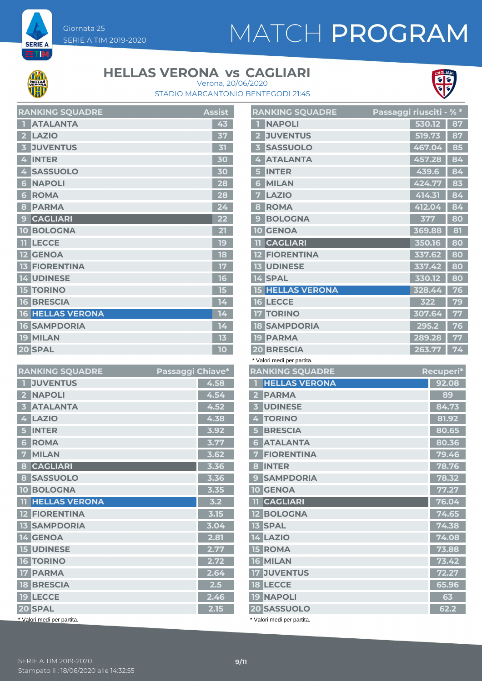# MATCH PROGRAM



**SERIE A** TΙ

### **HELLAS VERONA vs CAGLIARI**



STADIO MARCANTONIO BENTEGODI 21:45 Verona, 20/06/2020

|                | <b>RAINNINU SUUADRE</b> | дээнэ           |
|----------------|-------------------------|-----------------|
| п              | <b>ATALANTA</b>         | 43              |
| $\overline{2}$ | <b>LAZIO</b>            | 37              |
| 3              | <b>JUVENTUS</b>         | 31              |
| 4              | <b>INTER</b>            | 30              |
| 4              | <b>SASSUOLO</b>         | 30              |
| 6              | <b>NAPOLI</b>           | 28              |
| 6              | <b>ROMA</b>             | 28              |
| 8              | <b>PARMA</b>            | 24              |
| 9              | <b>CAGLIARI</b>         | 22 <sub>2</sub> |
|                | <b>10 BOLOGNA</b>       | 21              |
|                | <b>TT LECCE</b>         | 19              |
|                | <b>12 GENOA</b>         | 18              |
|                | <b>13 FIORENTINA</b>    | 17              |
|                | <b>14 UDINESE</b>       | 16              |
|                | <b>15 TORINO</b>        | 15              |
|                | <b>16 BRESCIA</b>       | 14              |
|                | <b>16 HELLAS VERONA</b> | 14              |
|                | <b>16 SAMPDORIA</b>     | 14              |
|                | <b>19 MILAN</b>         | 13              |
|                | 20 SPAL                 | 10              |

**RANKING SQUADDE** Assistant Assistant Assistant Assistant Assistant Assistant Assistant Assistant Assistant Assistant Assistant Assistant Assistant Assistant Assistant Assistant Assistant Assistant Assistant Assistant Assi

|                         | <b>RANKING SQUADRE</b>  | <u>Passaggi riusciti - % *</u> |        |    |
|-------------------------|-------------------------|--------------------------------|--------|----|
|                         | <b>NAPOLI</b>           |                                | 530.12 | 87 |
| $\overline{\mathbf{2}}$ | <b>JUVENTUS</b>         |                                | 519.73 | 87 |
| 3                       | <b>SASSUOLO</b>         |                                | 467.04 | 85 |
| 4                       | <b>ATALANTA</b>         |                                | 457.28 | 84 |
| 5                       | <b>INTER</b>            |                                | 439.6  | 84 |
| 6                       | <b>MILAN</b>            |                                | 424.77 | 83 |
| 7                       | <b>LAZIO</b>            |                                | 414.31 | 84 |
| 8                       | <b>ROMA</b>             |                                | 412.04 | 84 |
| 9                       | <b>BOLOGNA</b>          |                                | 377    | 80 |
|                         | <b>10 GENOA</b>         |                                | 369.88 | 81 |
| m                       | <b>CAGLIARI</b>         |                                | 350.16 | 80 |
|                         | <b>FIORENTINA</b>       |                                | 337.62 | 80 |
|                         | <b>13 UDINESE</b>       |                                | 337.42 | 80 |
|                         | 14 SPAL                 |                                | 330.12 | 80 |
|                         | <b>15 HELLAS VERONA</b> |                                | 328.44 | 76 |
|                         | <b>16 LECCE</b>         |                                | 322    | 79 |
| 17                      | <b>TORINO</b>           |                                | 307.64 | 77 |
|                         | <b>18 SAMPDORIA</b>     |                                | 295.2  | 76 |
|                         | <b>19 PARMA</b>         |                                | 289.28 | 77 |
|                         | <b>20 BRESCIA</b>       |                                | 263.77 | 74 |

| <b>RANKING SQUADRE</b>     | Passaggi Chiave* |      |
|----------------------------|------------------|------|
| <b>JUVENTUS</b>            |                  | 4.58 |
| <b>NAPOLI</b>              |                  | 4.54 |
| <b>ATALANTA</b>            |                  | 4.52 |
| <b>LAZIO</b>               |                  | 4.38 |
| <b>INTER</b>               |                  | 3.92 |
| <b>ROMA</b><br>6           |                  | 3.77 |
| <b>MILAN</b>               |                  | 3.62 |
| <b>CAGLIARI</b><br>8       |                  | 3.36 |
| <b>SASSUOLO</b><br>8       |                  | 3.36 |
| <b>10 BOLOGNA</b>          |                  | 3.35 |
| <b>HELLAS VERONA</b><br>11 |                  | 3.2  |
| <b>12 FIORENTINA</b>       |                  | 3.15 |
| <b>13 SAMPDORIA</b>        |                  | 3.04 |
| <b>14 GENOA</b>            |                  | 2.81 |
| <b>15 UDINESE</b>          |                  | 2.77 |
| <b>16 TORINO</b>           |                  | 2.72 |
| <b>PARMA</b><br>17         |                  | 2.64 |
| <b>18 BRESCIA</b>          |                  | 2.5  |
| <b>19 LECCE</b>            |                  | 2.46 |
| 20 SPAL                    |                  | 2.15 |
| * Valori medi per partita. |                  |      |

| <b>RANKING SQUADRE</b>  | Recuperi*            |       |
|-------------------------|----------------------|-------|
|                         | <b>HELLAS VERONA</b> | 92.08 |
| $\overline{\mathbf{2}}$ | <b>PARMA</b>         | 89    |
| $\overline{\mathbf{3}}$ | <b>UDINESE</b>       | 84.73 |
| 4                       | <b>TORINO</b>        | 81.92 |
| 5                       | <b>BRESCIA</b>       | 80.65 |
| 6                       | <b>ATALANTA</b>      | 80.36 |
| 7                       | <b>FIORENTINA</b>    | 79.46 |
| 8                       | <b>INTER</b>         | 78.76 |
| 9                       | <b>SAMPDORIA</b>     | 78.32 |
|                         | <b>10 GENOA</b>      | 77.27 |
|                         | <b>11 CAGLIARI</b>   | 76.04 |
|                         | <b>12 BOLOGNA</b>    | 74.65 |
|                         | <b>13 SPAL</b>       | 74.38 |
|                         | <b>14 LAZIO</b>      | 74.08 |
|                         | <b>15 ROMA</b>       | 73.88 |
|                         | <b>16 MILAN</b>      | 73.42 |
|                         | <b>17 JUVENTUS</b>   | 72.27 |
|                         | <b>18 LECCE</b>      | 65.96 |
|                         | <b>19 NAPOLI</b>     | 63    |
|                         | <b>20 SASSUOLO</b>   | 62.2  |

\* Valori medi per partita.

\* Valori medi per partita.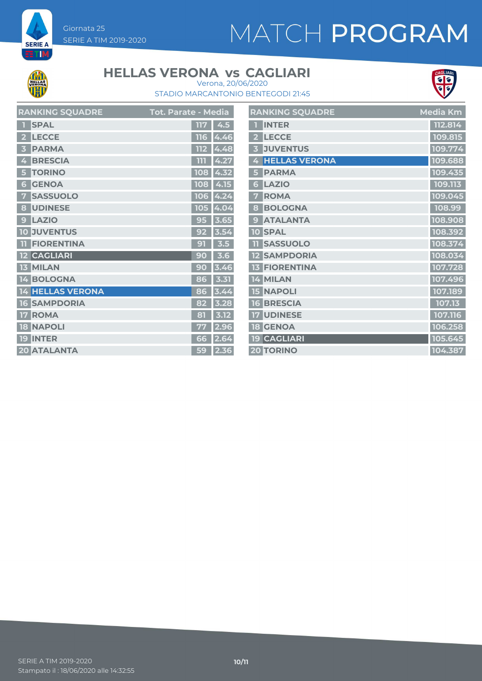# MATCH PROGRAM



**SERIE A ETM** 

### **HELLAS VERONA vs CAGLIARI**



STADIO MARCANTONIO BENTEGODI 21:45 Verona, 20/06/2020

| <b>RANKING SQUADRE</b>  | Tot. Parate - M <u>edia</u> |
|-------------------------|-----------------------------|
| <b>SPAL</b>             | 4.5<br>117                  |
| <b>LECCE</b>            | 116                         |
| 2                       | 4.46                        |
| <b>PARMA</b>            | 112<br>4.48                 |
| <b>BRESCIA</b>          | ווו                         |
| 4                       | 4.27                        |
| <b>TORINO</b>           | 108                         |
| 5                       | 4.32                        |
| <b>GENOA</b>            | 108                         |
| $\overline{\bullet}$    | 4.15                        |
| <b>SASSUOLO</b>         | 4.24                        |
| 7                       | 106                         |
| <b>UDINESE</b>          | 105                         |
| 8                       | 4.04                        |
| <b>LAZIO</b>            | 3.65                        |
| $\overline{\mathsf{C}}$ | 9                           |
| <b>JUVENTUS</b>         | 3.54                        |
| $\overline{0}$          | 92                          |
| <b>FIORENTINA</b>       | 3.5                         |
| TI                      | 91                          |
| <b>CAGLIARI</b>         | 3.6<br>9<br>$\overline{0}$  |
| <b>MILAN</b>            | 3.46                        |
| 13                      | 90                          |
| <b>BOLOGNA</b>          | 3.31<br>86                  |
| <b>HELLAS VERONA</b>    | 3.44<br>86                  |
| <b>SAMPDORIA</b>        | 3.28                        |
| 6                       | 82                          |
| <b>ROMA</b>             | 3.12                        |
| 17                      | 81                          |
| <b>NAPOLI</b>           | 2.96                        |
| 18                      | 77                          |
| <b>INTER</b>            | 2.64                        |
| 19                      | 66                          |
| 20 ATALANTA             | 2.36<br>59                  |

|                | <b>RANKING SQUADRE</b> | Media Km |
|----------------|------------------------|----------|
| п              | <b>INTER</b>           | 112.814  |
| $\overline{2}$ | <b>LECCE</b>           | 109.815  |
| 3              | <b>JUVENTUS</b>        | 109.774  |
| 4              | <b>HELLAS VERONA</b>   | 109.688  |
| 5              | <b>PARMA</b>           | 109.435  |
| 6              | <b>LAZIO</b>           | 109.113  |
| 7              | <b>ROMA</b>            | 109.045  |
| 8              | <b>BOLOGNA</b>         | 108.99   |
| 9              | <b>ATALANTA</b>        | 108.908  |
|                | <b>10 SPAL</b>         | 108.392  |
|                | <b>TI SASSUOLO</b>     | 108.374  |
|                | <b>12 SAMPDORIA</b>    | 108.034  |
|                | <b>13 FIORENTINA</b>   | 107.728  |
|                | 14 MILAN               | 107.496  |
|                | <b>15 NAPOLI</b>       | 107.189  |
|                | <b>16 BRESCIA</b>      | 107.13   |
|                | <b>17 UDINESE</b>      | 107.116  |
|                | <b>18 GENOA</b>        | 106.258  |
|                | <b>19 CAGLIARI</b>     | 105.645  |
|                | <b>20 TORINO</b>       | 104.387  |